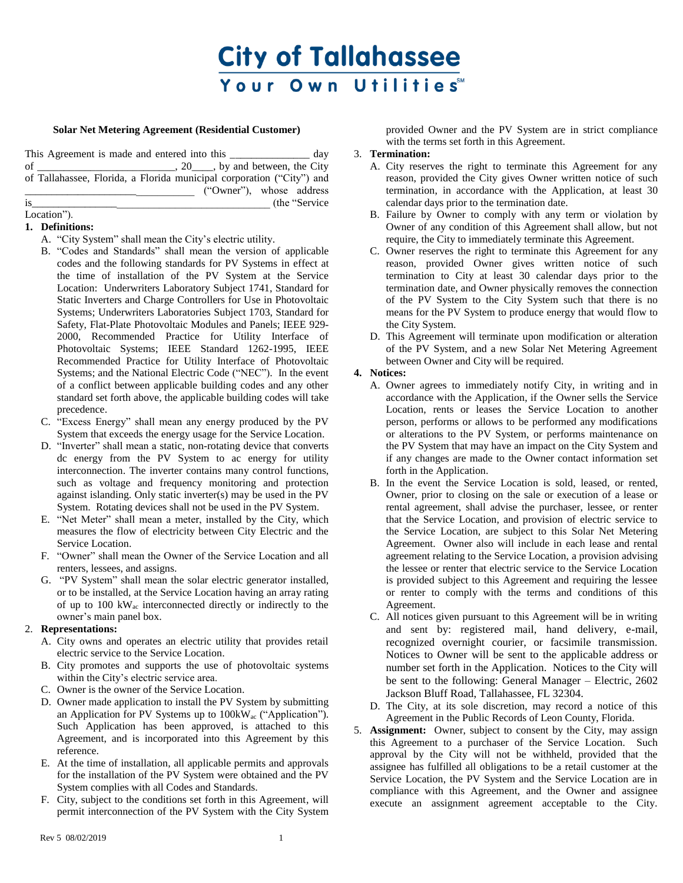# **City of Tallahassee** Your Own Utilities™

## **Solar Net Metering Agreement (Residential Customer)**

This Agreement is made and entered into this \_\_\_\_\_\_\_\_\_\_\_\_\_\_\_\_\_ day of  $\frac{1}{\sqrt{2}}$  of  $\frac{1}{\sqrt{2}}$  of  $\frac{1}{\sqrt{2}}$  of  $\frac{1}{\sqrt{2}}$  and between, the City of Tallahassee, Florida, a Florida municipal corporation ("City") and \_\_\_\_\_\_\_\_\_\_\_\_\_\_\_\_\_\_\_\_\_\_\_\_\_\_\_\_\_\_\_\_ ("Owner"), whose address is\_\_\_\_\_\_\_\_\_\_\_\_\_\_\_\_\_\_\_\_\_\_\_\_\_\_\_\_\_\_\_\_\_\_\_\_\_\_\_\_\_\_\_\_\_ (the "Service

#### Location").

## **1. Definitions:**

- A. "City System" shall mean the City's electric utility.
- B. "Codes and Standards" shall mean the version of applicable codes and the following standards for PV Systems in effect at the time of installation of the PV System at the Service Location: Underwriters Laboratory Subject 1741, Standard for Static Inverters and Charge Controllers for Use in Photovoltaic Systems; Underwriters Laboratories Subject 1703, Standard for Safety, Flat-Plate Photovoltaic Modules and Panels; IEEE 929- 2000, Recommended Practice for Utility Interface of Photovoltaic Systems; IEEE Standard 1262-1995, IEEE Recommended Practice for Utility Interface of Photovoltaic Systems; and the National Electric Code ("NEC"). In the event of a conflict between applicable building codes and any other standard set forth above, the applicable building codes will take precedence.
- C. "Excess Energy" shall mean any energy produced by the PV System that exceeds the energy usage for the Service Location.
- D. "Inverter" shall mean a static, non-rotating device that converts dc energy from the PV System to ac energy for utility interconnection. The inverter contains many control functions, such as voltage and frequency monitoring and protection against islanding. Only static inverter(s) may be used in the PV System. Rotating devices shall not be used in the PV System.
- E. "Net Meter" shall mean a meter, installed by the City, which measures the flow of electricity between City Electric and the Service Location.
- F. "Owner" shall mean the Owner of the Service Location and all renters, lessees, and assigns.
- G. "PV System" shall mean the solar electric generator installed, or to be installed, at the Service Location having an array rating of up to 100 kWac interconnected directly or indirectly to the owner's main panel box.

#### 2. **Representations:**

- A. City owns and operates an electric utility that provides retail electric service to the Service Location.
- B. City promotes and supports the use of photovoltaic systems within the City's electric service area.
- C. Owner is the owner of the Service Location.
- D. Owner made application to install the PV System by submitting an Application for PV Systems up to 100kWac ("Application"). Such Application has been approved, is attached to this Agreement, and is incorporated into this Agreement by this reference.
- E. At the time of installation, all applicable permits and approvals for the installation of the PV System were obtained and the PV System complies with all Codes and Standards.
- F. City, subject to the conditions set forth in this Agreement, will permit interconnection of the PV System with the City System

provided Owner and the PV System are in strict compliance with the terms set forth in this Agreement.

## 3. **Termination:**

- A. City reserves the right to terminate this Agreement for any reason, provided the City gives Owner written notice of such termination, in accordance with the Application, at least 30 calendar days prior to the termination date.
- B. Failure by Owner to comply with any term or violation by Owner of any condition of this Agreement shall allow, but not require, the City to immediately terminate this Agreement.
- C. Owner reserves the right to terminate this Agreement for any reason, provided Owner gives written notice of such termination to City at least 30 calendar days prior to the termination date, and Owner physically removes the connection of the PV System to the City System such that there is no means for the PV System to produce energy that would flow to the City System.
- D. This Agreement will terminate upon modification or alteration of the PV System, and a new Solar Net Metering Agreement between Owner and City will be required.

## **4. Notices:**

- A. Owner agrees to immediately notify City, in writing and in accordance with the Application, if the Owner sells the Service Location, rents or leases the Service Location to another person, performs or allows to be performed any modifications or alterations to the PV System, or performs maintenance on the PV System that may have an impact on the City System and if any changes are made to the Owner contact information set forth in the Application.
- B. In the event the Service Location is sold, leased, or rented, Owner, prior to closing on the sale or execution of a lease or rental agreement, shall advise the purchaser, lessee, or renter that the Service Location, and provision of electric service to the Service Location, are subject to this Solar Net Metering Agreement. Owner also will include in each lease and rental agreement relating to the Service Location, a provision advising the lessee or renter that electric service to the Service Location is provided subject to this Agreement and requiring the lessee or renter to comply with the terms and conditions of this Agreement.
- C. All notices given pursuant to this Agreement will be in writing and sent by: registered mail, hand delivery, e-mail, recognized overnight courier, or facsimile transmission. Notices to Owner will be sent to the applicable address or number set forth in the Application. Notices to the City will be sent to the following: General Manager – Electric, 2602 Jackson Bluff Road, Tallahassee, FL 32304.
- D. The City, at its sole discretion, may record a notice of this Agreement in the Public Records of Leon County, Florida.
- 5. **Assignment:** Owner, subject to consent by the City, may assign this Agreement to a purchaser of the Service Location. Such approval by the City will not be withheld, provided that the assignee has fulfilled all obligations to be a retail customer at the Service Location, the PV System and the Service Location are in compliance with this Agreement, and the Owner and assignee execute an assignment agreement acceptable to the City.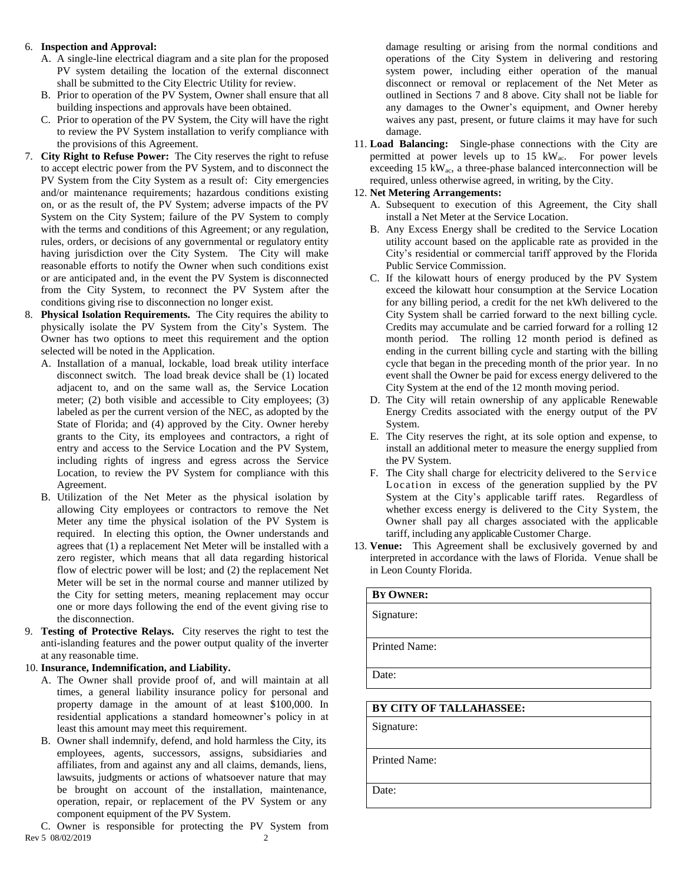## 6. **Inspection and Approval:**

- A. A single-line electrical diagram and a site plan for the proposed PV system detailing the location of the external disconnect shall be submitted to the City Electric Utility for review.
- B. Prior to operation of the PV System, Owner shall ensure that all building inspections and approvals have been obtained.
- C. Prior to operation of the PV System, the City will have the right to review the PV System installation to verify compliance with the provisions of this Agreement.
- 7. **City Right to Refuse Power:** The City reserves the right to refuse to accept electric power from the PV System, and to disconnect the PV System from the City System as a result of: City emergencies and/or maintenance requirements; hazardous conditions existing on, or as the result of, the PV System; adverse impacts of the PV System on the City System; failure of the PV System to comply with the terms and conditions of this Agreement; or any regulation, rules, orders, or decisions of any governmental or regulatory entity having jurisdiction over the City System. The City will make reasonable efforts to notify the Owner when such conditions exist or are anticipated and, in the event the PV System is disconnected from the City System, to reconnect the PV System after the conditions giving rise to disconnection no longer exist.
- 8. **Physical Isolation Requirements.** The City requires the ability to physically isolate the PV System from the City's System. The Owner has two options to meet this requirement and the option selected will be noted in the Application.
	- A. Installation of a manual, lockable, load break utility interface disconnect switch. The load break device shall be (1) located adjacent to, and on the same wall as, the Service Location meter; (2) both visible and accessible to City employees; (3) labeled as per the current version of the NEC, as adopted by the State of Florida; and (4) approved by the City. Owner hereby grants to the City, its employees and contractors, a right of entry and access to the Service Location and the PV System, including rights of ingress and egress across the Service Location, to review the PV System for compliance with this Agreement.
	- B. Utilization of the Net Meter as the physical isolation by allowing City employees or contractors to remove the Net Meter any time the physical isolation of the PV System is required. In electing this option, the Owner understands and agrees that (1) a replacement Net Meter will be installed with a zero register, which means that all data regarding historical flow of electric power will be lost; and (2) the replacement Net Meter will be set in the normal course and manner utilized by the City for setting meters, meaning replacement may occur one or more days following the end of the event giving rise to the disconnection.
- 9. **Testing of Protective Relays.** City reserves the right to test the anti-islanding features and the power output quality of the inverter at any reasonable time.

## 10. **Insurance, Indemnification, and Liability.**

- A. The Owner shall provide proof of, and will maintain at all times, a general liability insurance policy for personal and property damage in the amount of at least \$100,000. In residential applications a standard homeowner's policy in at least this amount may meet this requirement.
- B. Owner shall indemnify, defend, and hold harmless the City, its employees, agents, successors, assigns, subsidiaries and affiliates, from and against any and all claims, demands, liens, lawsuits, judgments or actions of whatsoever nature that may be brought on account of the installation, maintenance, operation, repair, or replacement of the PV System or any component equipment of the PV System.

Rev 5 08/02/2019 2 C. Owner is responsible for protecting the PV System from damage resulting or arising from the normal conditions and operations of the City System in delivering and restoring system power, including either operation of the manual disconnect or removal or replacement of the Net Meter as outlined in Sections 7 and 8 above. City shall not be liable for any damages to the Owner's equipment, and Owner hereby waives any past, present, or future claims it may have for such damage.

11. **Load Balancing:** Single-phase connections with the City are permitted at power levels up to  $15 \text{ kW}_{ac}$ . For power levels exceeding 15 kWac, a three-phase balanced interconnection will be required, unless otherwise agreed, in writing, by the City.

## 12. **Net Metering Arrangements:**

- A. Subsequent to execution of this Agreement, the City shall install a Net Meter at the Service Location.
- B. Any Excess Energy shall be credited to the Service Location utility account based on the applicable rate as provided in the City's residential or commercial tariff approved by the Florida Public Service Commission.
- C. If the kilowatt hours of energy produced by the PV System exceed the kilowatt hour consumption at the Service Location for any billing period, a credit for the net kWh delivered to the City System shall be carried forward to the next billing cycle. Credits may accumulate and be carried forward for a rolling 12 month period. The rolling 12 month period is defined as ending in the current billing cycle and starting with the billing cycle that began in the preceding month of the prior year. In no event shall the Owner be paid for excess energy delivered to the City System at the end of the 12 month moving period.
- D. The City will retain ownership of any applicable Renewable Energy Credits associated with the energy output of the PV System.
- E. The City reserves the right, at its sole option and expense, to install an additional meter to measure the energy supplied from the PV System.
- F. The City shall charge for electricity delivered to the Service Location in excess of the generation supplied by the PV System at the City's applicable tariff rates. Regardless of whether excess energy is delivered to the City System, the Owner shall pay all charges associated with the applicable tariff, including any applicable Customer Charge.
- 13. **Venue:** This Agreement shall be exclusively governed by and interpreted in accordance with the laws of Florida. Venue shall be in Leon County Florida.

| BY OWNER:               |  |  |  |  |
|-------------------------|--|--|--|--|
| Signature:              |  |  |  |  |
|                         |  |  |  |  |
| <b>Printed Name:</b>    |  |  |  |  |
|                         |  |  |  |  |
| Date:                   |  |  |  |  |
|                         |  |  |  |  |
| BY CITY OF TALLAHASSEE: |  |  |  |  |
| Signature:              |  |  |  |  |
|                         |  |  |  |  |
|                         |  |  |  |  |

Printed Name:

Date: